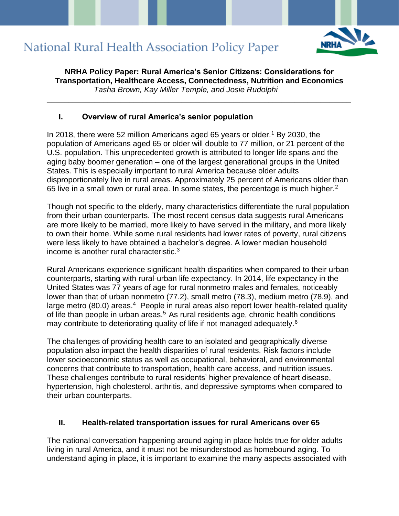

**NRHA Policy Paper: Rural America's Senior Citizens: Considerations for Transportation, Healthcare Access, Connectedness, Nutrition and Economics** *Tasha Brown, Kay Miller Temple, and Josie Rudolphi*

\_\_\_\_\_\_\_\_\_\_\_\_\_\_\_\_\_\_\_\_\_\_\_\_\_\_\_\_\_\_\_\_\_\_\_\_\_\_\_\_\_\_\_\_\_\_\_\_\_\_\_\_\_\_\_\_\_\_\_\_\_\_\_\_\_\_\_\_\_\_

#### **I. Overview of rural America's senior population**

In 2018, there were 52 million Americans aged 65 years or older.<sup>1</sup> By 2030, the population of Americans aged 65 or older will double to 77 million, or 21 percent of the U.S. population. This unprecedented growth is attributed to longer life spans and the aging baby boomer generation – one of the largest generational groups in the United States. This is especially important to rural America because older adults disproportionately live in rural areas. Approximately 25 percent of Americans older than 65 live in a small town or rural area. In some states, the percentage is much higher.<sup>2</sup>

Though not specific to the elderly, many characteristics differentiate the rural population from their urban counterparts. The most recent census data suggests rural Americans are more likely to be married, more likely to have served in the military, and more likely to own their home. While some rural residents had lower rates of poverty, rural citizens were less likely to have obtained a bachelor's degree. A lower median household income is another rural characteristic.<sup>3</sup>

Rural Americans experience significant health disparities when compared to their urban counterparts, starting with rural-urban life expectancy. In 2014, life expectancy in the United States was 77 years of age for rural nonmetro males and females, noticeably lower than that of urban nonmetro (77.2), small metro (78.3), medium metro (78.9), and large metro (80.0) areas.<sup>4</sup> People in rural areas also report lower health-related quality of life than people in urban areas.<sup>5</sup> As rural residents age, chronic health conditions may contribute to deteriorating quality of life if not managed adequately.<sup>6</sup>

The challenges of providing health care to an isolated and geographically diverse population also impact the health disparities of rural residents. Risk factors include lower socioeconomic status as well as occupational, behavioral, and environmental concerns that contribute to transportation, health care access, and nutrition issues. These challenges contribute to rural residents' higher prevalence of heart disease, hypertension, high cholesterol, arthritis, and depressive symptoms when compared to their urban counterparts.

#### **II. Health-related transportation issues for rural Americans over 65**

The national conversation happening around aging in place holds true for older adults living in rural America, and it must not be misunderstood as homebound aging. To understand aging in place, it is important to examine the many aspects associated with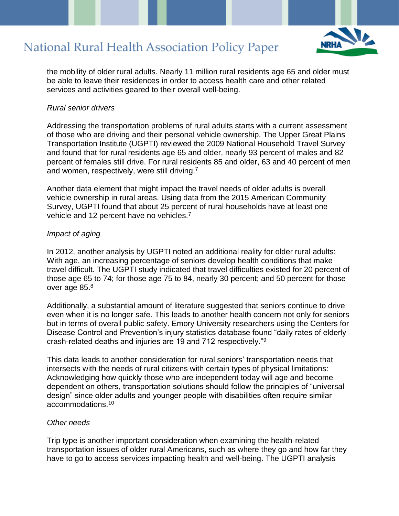

the mobility of older rural adults. Nearly 11 million rural residents age 65 and older must be able to leave their residences in order to access health care and other related services and activities geared to their overall well-being.

#### *Rural senior drivers*

Addressing the transportation problems of rural adults starts with a current assessment of those who are driving and their personal vehicle ownership. The Upper Great Plains Transportation Institute (UGPTI) reviewed the 2009 National Household Travel Survey and found that for rural residents age 65 and older, nearly 93 percent of males and 82 percent of females still drive. For rural residents 85 and older, 63 and 40 percent of men and women, respectively, were still driving.<sup>7</sup>

Another data element that might impact the travel needs of older adults is overall vehicle ownership in rural areas. Using data from the 2015 American Community Survey, UGPTI found that about 25 percent of rural households have at least one vehicle and 12 percent have no vehicles.<sup>7</sup>

#### *Impact of aging*

In 2012, another analysis by UGPTI noted an additional reality for older rural adults: With age, an increasing percentage of seniors develop health conditions that make travel difficult. The UGPTI study indicated that travel difficulties existed for 20 percent of those age 65 to 74; for those age 75 to 84, nearly 30 percent; and 50 percent for those over age 85.<sup>8</sup>

Additionally, a substantial amount of literature suggested that seniors continue to drive even when it is no longer safe. This leads to another health concern not only for seniors but in terms of overall public safety. Emory University researchers using the Centers for Disease Control and Prevention's injury statistics database found "daily rates of elderly crash-related deaths and injuries are 19 and 712 respectively."<sup>9</sup>

This data leads to another consideration for rural seniors' transportation needs that intersects with the needs of rural citizens with certain types of physical limitations: Acknowledging how quickly those who are independent today will age and become dependent on others, transportation solutions should follow the principles of "universal design" since older adults and younger people with disabilities often require similar accommodations.<sup>10</sup>

#### *Other needs*

Trip type is another important consideration when examining the health-related transportation issues of older rural Americans, such as where they go and how far they have to go to access services impacting health and well-being. The UGPTI analysis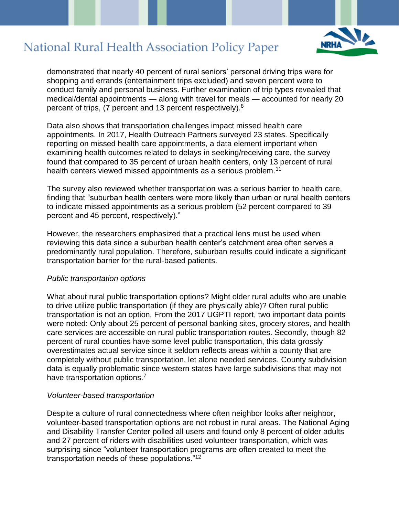

demonstrated that nearly 40 percent of rural seniors' personal driving trips were for shopping and errands (entertainment trips excluded) and seven percent were to conduct family and personal business. Further examination of trip types revealed that medical/dental appointments — along with travel for meals — accounted for nearly 20 percent of trips, (7 percent and 13 percent respectively).<sup>8</sup>

Data also shows that transportation challenges impact missed health care appointments. In 2017, Health Outreach Partners surveyed 23 states. Specifically reporting on missed health care appointments, a data element important when examining health outcomes related to delays in seeking/receiving care, the survey found that compared to 35 percent of urban health centers, only 13 percent of rural health centers viewed missed appointments as a serious problem.<sup>11</sup>

The survey also reviewed whether transportation was a serious barrier to health care, finding that "suburban health centers were more likely than urban or rural health centers to indicate missed appointments as a serious problem (52 percent compared to 39 percent and 45 percent, respectively)."

However, the researchers emphasized that a practical lens must be used when reviewing this data since a suburban health center's catchment area often serves a predominantly rural population. Therefore, suburban results could indicate a significant transportation barrier for the rural-based patients.

#### *Public transportation options*

What about rural public transportation options? Might older rural adults who are unable to drive utilize public transportation (if they are physically able)? Often rural public transportation is not an option. From the 2017 UGPTI report, two important data points were noted: Only about 25 percent of personal banking sites, grocery stores, and health care services are accessible on rural public transportation routes. Secondly, though 82 percent of rural counties have some level public transportation, this data grossly overestimates actual service since it seldom reflects areas within a county that are completely without public transportation, let alone needed services. County subdivision data is equally problematic since western states have large subdivisions that may not have transportation options.<sup>7</sup>

#### *Volunteer-based transportation*

Despite a culture of rural connectedness where often neighbor looks after neighbor, volunteer-based transportation options are not robust in rural areas. The National Aging and Disability Transfer Center polled all users and found only 8 percent of older adults and 27 percent of riders with disabilities used volunteer transportation, which was surprising since "volunteer transportation programs are often created to meet the transportation needs of these populations."12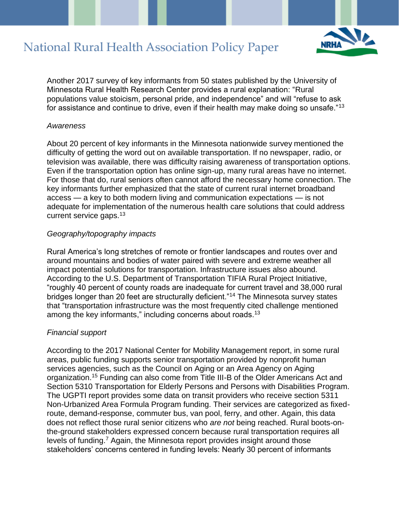

Another 2017 survey of key informants from 50 states published by the University of Minnesota Rural Health Research Center provides a rural explanation: "Rural populations value stoicism, personal pride, and independence" and will "refuse to ask for assistance and continue to drive, even if their health may make doing so unsafe."<sup>13</sup>

#### *Awareness*

About 20 percent of key informants in the Minnesota nationwide survey mentioned the difficulty of getting the word out on available transportation. If no newspaper, radio, or television was available, there was difficulty raising awareness of transportation options. Even if the transportation option has online sign-up, many rural areas have no internet. For those that do, rural seniors often cannot afford the necessary home connection. The key informants further emphasized that the state of current rural internet broadband access — a key to both modern living and communication expectations — is not adequate for implementation of the numerous health care solutions that could address current service gaps.<sup>13</sup>

#### *Geography/topography impacts*

Rural America's long stretches of remote or frontier landscapes and routes over and around mountains and bodies of water paired with severe and extreme weather all impact potential solutions for transportation. Infrastructure issues also abound. According to the U.S. Department of Transportation TIFIA Rural Project Initiative, "roughly 40 percent of county roads are inadequate for current travel and 38,000 rural bridges longer than 20 feet are structurally deficient."<sup>14</sup> The Minnesota survey states that "transportation infrastructure was the most frequently cited challenge mentioned among the key informants," including concerns about roads.<sup>13</sup>

#### *Financial support*

According to the 2017 National Center for Mobility Management report, in some rural areas, public funding supports senior transportation provided by nonprofit human services agencies, such as the Council on Aging or an Area Agency on Aging organization.<sup>15</sup> Funding can also come from Title III-B of the Older Americans Act and Section 5310 Transportation for Elderly Persons and Persons with Disabilities Program. The UGPTI report provides some data on transit providers who receive section 5311 Non-Urbanized Area Formula Program funding. Their services are categorized as fixedroute, demand-response, commuter bus, van pool, ferry, and other. Again, this data does not reflect those rural senior citizens who *are not* being reached. Rural boots-onthe-ground stakeholders expressed concern because rural transportation requires all levels of funding.<sup>7</sup> Again, the Minnesota report provides insight around those stakeholders' concerns centered in funding levels: Nearly 30 percent of informants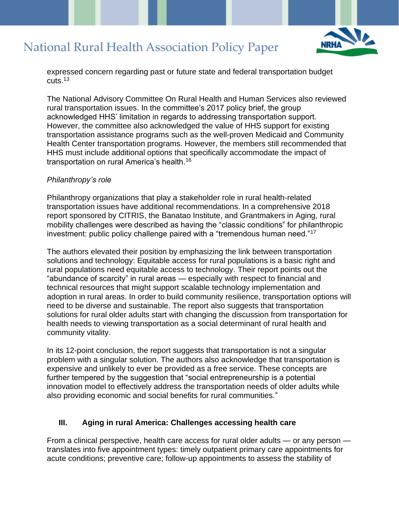

expressed concern regarding past or future state and federal transportation budget  $cuts.<sup>13</sup>$ 

The National Advisory Committee On Rural Health and Human Services also reviewed rural transportation issues. In the committee's 2017 policy brief, the group acknowledged HHS' limitation in regards to addressing transportation support. However, the committee also acknowledged the value of HHS support for existing transportation assistance programs such as the well-proven Medicaid and Community Health Center transportation programs. However, the members still recommended that HHS must include additional options that specifically accommodate the impact of transportation on rural America's health.<sup>16</sup>

#### *Philanthropy's role*

Philanthropy organizations that play a stakeholder role in rural health-related transportation issues have additional recommendations. In a comprehensive 2018 report sponsored by CITRIS, the Banatao Institute, and Grantmakers in Aging, rural mobility challenges were described as having the "classic conditions" for philanthropic investment: public policy challenge paired with a "tremendous human need."<sup>17</sup>

The authors elevated their position by emphasizing the link between transportation solutions and technology: Equitable access for rural populations is a basic right and rural populations need equitable access to technology. Their report points out the "abundance of scarcity" in rural areas — especially with respect to financial and technical resources that might support scalable technology implementation and adoption in rural areas. In order to build community resilience, transportation options will need to be diverse and sustainable. The report also suggests that transportation solutions for rural older adults start with changing the discussion from transportation for health needs to viewing transportation as a social determinant of rural health and community vitality.

In its 12-point conclusion, the report suggests that transportation is not a singular problem with a singular solution. The authors also acknowledge that transportation is expensive and unlikely to ever be provided as a free service. These concepts are further tempered by the suggestion that "social entrepreneurship is a potential innovation model to effectively address the transportation needs of older adults while also providing economic and social benefits for rural communities."

#### **III. Aging in rural America: Challenges accessing health care**

From a clinical perspective, health care access for rural older adults — or any person translates into five appointment types: timely outpatient primary care appointments for acute conditions; preventive care; follow-up appointments to assess the stability of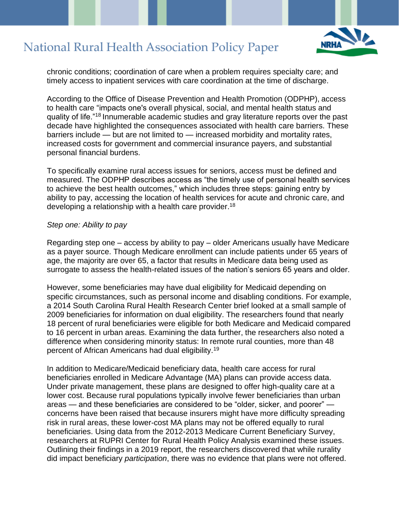

chronic conditions; coordination of care when a problem requires specialty care; and timely access to inpatient services with care coordination at the time of discharge.

According to the Office of Disease Prevention and Health Promotion (ODPHP), access to health care "impacts one's overall physical, social, and mental health status and quality of life."<sup>18</sup> Innumerable academic studies and gray literature reports over the past decade have highlighted the consequences associated with health care barriers. These barriers include — but are not limited to — increased morbidity and mortality rates, increased costs for government and commercial insurance payers, and substantial personal financial burdens.

To specifically examine rural access issues for seniors, access must be defined and measured. The ODPHP describes access as "the timely use of personal health services to achieve the best health outcomes," which includes three steps: gaining entry by ability to pay, accessing the location of health services for acute and chronic care, and developing a relationship with a health care provider.<sup>18</sup>

#### *Step one: Ability to pay*

Regarding step one – access by ability to pay – older Americans usually have Medicare as a payer source. Though Medicare enrollment can include patients under 65 years of age, the majority are over 65, a factor that results in Medicare data being used as surrogate to assess the health-related issues of the nation's seniors 65 years and older.

However, some beneficiaries may have dual eligibility for Medicaid depending on specific circumstances, such as personal income and disabling conditions. For example, a 2014 South Carolina Rural Health Research Center brief looked at a small sample of 2009 beneficiaries for information on dual eligibility. The researchers found that nearly 18 percent of rural beneficiaries were eligible for both Medicare and Medicaid compared to 16 percent in urban areas. Examining the data further, the researchers also noted a difference when considering minority status: In remote rural counties, more than 48 percent of African Americans had dual eligibility.<sup>19</sup>

In addition to Medicare/Medicaid beneficiary data, health care access for rural beneficiaries enrolled in Medicare Advantage (MA) plans can provide access data. Under private management, these plans are designed to offer high-quality care at a lower cost. Because rural populations typically involve fewer beneficiaries than urban areas — and these beneficiaries are considered to be "older, sicker, and poorer" concerns have been raised that because insurers might have more difficulty spreading risk in rural areas, these lower-cost MA plans may not be offered equally to rural beneficiaries. Using data from the 2012-2013 Medicare Current Beneficiary Survey, researchers at RUPRI Center for Rural Health Policy Analysis examined these issues. Outlining their findings in a 2019 report, the researchers discovered that while rurality did impact beneficiary *participation*, there was no evidence that plans were not offered.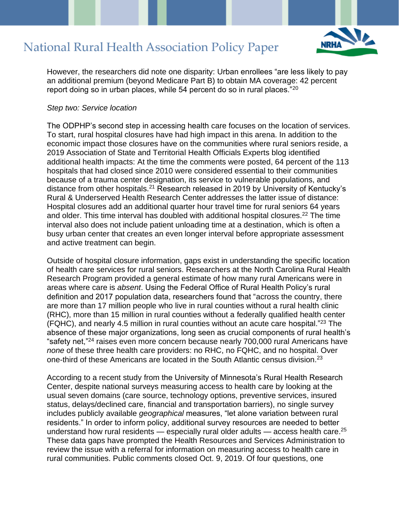

However, the researchers did note one disparity: Urban enrollees "are less likely to pay an additional premium (beyond Medicare Part B) to obtain MA coverage: 42 percent report doing so in urban places, while 54 percent do so in rural places."<sup>20</sup>

#### *Step two: Service location*

The ODPHP's second step in accessing health care focuses on the location of services. To start, rural hospital closures have had high impact in this arena. In addition to the economic impact those closures have on the communities where rural seniors reside, a 2019 Association of State and Territorial Health Officials Experts blog identified additional health impacts: At the time the comments were posted, 64 percent of the 113 hospitals that had closed since 2010 were considered essential to their communities because of a trauma center designation, its service to vulnerable populations, and distance from other hospitals.<sup>21</sup> Research released in 2019 by University of Kentucky's Rural & Underserved Health Research Center addresses the latter issue of distance: Hospital closures add an additional quarter hour travel time for rural seniors 64 years and older. This time interval has doubled with additional hospital closures.<sup>22</sup> The time interval also does not include patient unloading time at a destination, which is often a busy urban center that creates an even longer interval before appropriate assessment and active treatment can begin.

Outside of hospital closure information, gaps exist in understanding the specific location of health care services for rural seniors. Researchers at the North Carolina Rural Health Research Program provided a general estimate of how many rural Americans were in areas where care is *absent*. Using the Federal Office of Rural Health Policy's rural definition and 2017 population data, researchers found that "across the country, there are more than 17 million people who live in rural counties without a rural health clinic (RHC), more than 15 million in rural counties without a federally qualified health center (FQHC), and nearly 4.5 million in rural counties without an acute care hospital."<sup>23</sup> The absence of these major organizations, long seen as crucial components of rural health's "safety net,"<sup>24</sup> raises even more concern because nearly 700,000 rural Americans have *none* of these three health care providers: no RHC, no FQHC, and no hospital. Over one-third of these Americans are located in the South Atlantic census division.<sup>23</sup>

According to a recent study from the University of Minnesota's Rural Health Research Center, despite national surveys measuring access to health care by looking at the usual seven domains (care source, technology options, preventive services, insured status, delays/declined care, financial and transportation barriers), no single survey includes publicly available *geographical* measures, "let alone variation between rural residents." In order to inform policy, additional survey resources are needed to better understand how rural residents — especially rural older adults — access health care.<sup>25</sup> These data gaps have prompted the Health Resources and Services Administration to review the issue with a referral for information on measuring access to health care in rural communities. Public comments closed Oct. 9, 2019. Of four questions, one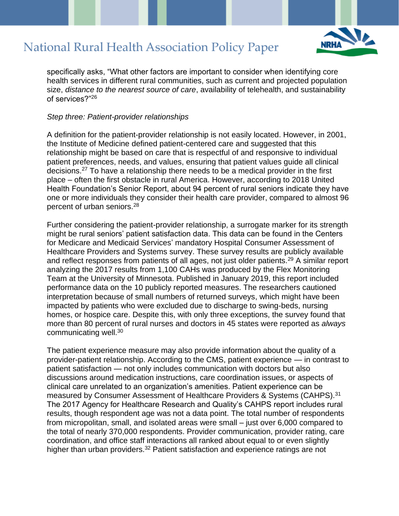

specifically asks, "What other factors are important to consider when identifying core health services in different rural communities, such as current and projected population size, *distance to the nearest source of care*, availability of telehealth, and sustainability of services?"<sup>26</sup>

#### *Step three: Patient-provider relationships*

A definition for the patient-provider relationship is not easily located. However, in 2001, the Institute of Medicine defined patient-centered care and suggested that this relationship might be based on care that is respectful of and responsive to individual patient preferences, needs, and values, ensuring that patient values guide all clinical decisions.<sup>27</sup> To have a relationship there needs to be a medical provider in the first place – often the first obstacle in rural America. However, according to 2018 United Health Foundation's Senior Report, about 94 percent of rural seniors indicate they have one or more individuals they consider their health care provider, compared to almost 96 percent of urban seniors.<sup>28</sup>

Further considering the patient-provider relationship, a surrogate marker for its strength might be rural seniors' patient satisfaction data. This data can be found in the Centers for Medicare and Medicaid Services' mandatory Hospital Consumer Assessment of Healthcare Providers and Systems survey. These survey results are publicly available and reflect responses from patients of all ages, not just older patients.<sup>29</sup> A similar report analyzing the 2017 results from 1,100 CAHs was produced by the Flex Monitoring Team at the University of Minnesota. Published in January 2019, this report included performance data on the 10 publicly reported measures. The researchers cautioned interpretation because of small numbers of returned surveys, which might have been impacted by patients who were excluded due to discharge to swing-beds, nursing homes, or hospice care. Despite this, with only three exceptions, the survey found that more than 80 percent of rural nurses and doctors in 45 states were reported as *always*  communicating well.<sup>30</sup>

The patient experience measure may also provide information about the quality of a provider-patient relationship. According to the CMS, patient experience — in contrast to patient satisfaction — not only includes communication with doctors but also discussions around medication instructions, care coordination issues, or aspects of clinical care unrelated to an organization's amenities. Patient experience can be measured by Consumer Assessment of Healthcare Providers & Systems (CAHPS).<sup>31</sup> The 2017 Agency for Healthcare Research and Quality's CAHPS report includes rural results, though respondent age was not a data point. The total number of respondents from micropolitan, small, and isolated areas were small – just over 6,000 compared to the total of nearly 370,000 respondents. Provider communication, provider rating, care coordination, and office staff interactions all ranked about equal to or even slightly higher than urban providers.<sup>32</sup> Patient satisfaction and experience ratings are not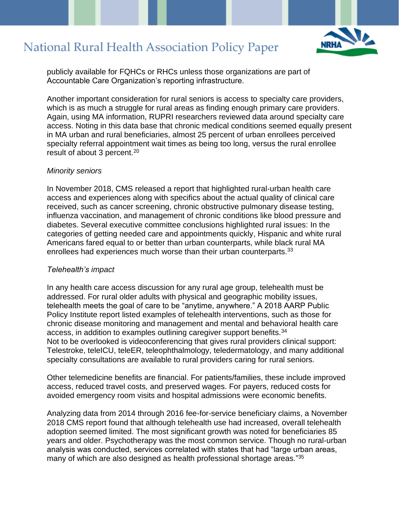

publicly available for FQHCs or RHCs unless those organizations are part of Accountable Care Organization's reporting infrastructure.

Another important consideration for rural seniors is access to specialty care providers, which is as much a struggle for rural areas as finding enough primary care providers. Again, using MA information, RUPRI researchers reviewed data around specialty care access. Noting in this data base that chronic medical conditions seemed equally present in MA urban and rural beneficiaries, almost 25 percent of urban enrollees perceived specialty referral appointment wait times as being too long, versus the rural enrollee result of about 3 percent.<sup>20</sup>

#### *Minority seniors*

In November 2018, CMS released a report that highlighted rural-urban health care access and experiences along with specifics about the actual quality of clinical care received, such as cancer screening, chronic obstructive pulmonary disease testing, influenza vaccination, and management of chronic conditions like blood pressure and diabetes. Several executive committee conclusions highlighted rural issues: In the categories of getting needed care and appointments quickly, Hispanic and white rural Americans fared equal to or better than urban counterparts, while black rural MA enrollees had experiences much worse than their urban counterparts.<sup>33</sup>

#### *Telehealth's impact*

In any health care access discussion for any rural age group, telehealth must be addressed. For rural older adults with physical and geographic mobility issues, telehealth meets the goal of care to be "anytime, anywhere." A 2018 AARP Public Policy Institute report listed examples of telehealth interventions, such as those for chronic disease monitoring and management and mental and behavioral health care access, in addition to examples outlining caregiver support benefits.<sup>34</sup> Not to be overlooked is videoconferencing that gives rural providers clinical support: Telestroke, teleICU, teleER, teleophthalmology, teledermatology, and many additional specialty consultations are available to rural providers caring for rural seniors.

Other telemedicine benefits are financial. For patients/families, these include improved access, reduced travel costs, and preserved wages. For payers, reduced costs for avoided emergency room visits and hospital admissions were economic benefits.

Analyzing data from 2014 through 2016 fee-for-service beneficiary claims, a November 2018 CMS report found that although telehealth use had increased, overall telehealth adoption seemed limited. The most significant growth was noted for beneficiaries 85 years and older. Psychotherapy was the most common service. Though no rural-urban analysis was conducted, services correlated with states that had "large urban areas, many of which are also designed as health professional shortage areas."<sup>35</sup>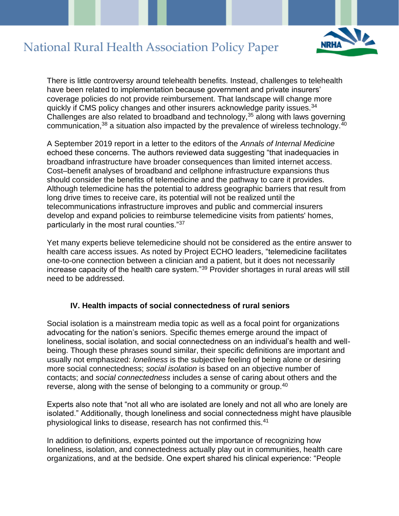

There is little controversy around telehealth benefits. Instead, challenges to telehealth have been related to implementation because government and private insurers' coverage policies do not provide reimbursement. That landscape will change more quickly if CMS policy changes and other insurers acknowledge parity issues.<sup>34</sup> Challenges are also related to broadband and technology,<sup>35</sup> along with laws governing communication,<sup>38</sup> a situation also impacted by the prevalence of wireless technology.<sup>40</sup>

A September 2019 report in a letter to the editors of the *Annals of Internal Medicine* echoed these concerns. The authors reviewed data suggesting "that inadequacies in broadband infrastructure have broader consequences than limited internet access. Cost–benefit analyses of broadband and cellphone infrastructure expansions thus should consider the benefits of telemedicine and the pathway to care it provides. Although telemedicine has the potential to address geographic barriers that result from long drive times to receive care, its potential will not be realized until the telecommunications infrastructure improves and public and commercial insurers develop and expand policies to reimburse telemedicine visits from patients' homes, particularly in the most rural counties."<sup>37</sup>

Yet many experts believe telemedicine should not be considered as the entire answer to health care access issues. As noted by Project ECHO leaders, "telemedicine facilitates one-to-one connection between a clinician and a patient, but it does not necessarily increase capacity of the health care system."<sup>39</sup> Provider shortages in rural areas will still need to be addressed.

#### **IV. Health impacts of social connectedness of rural seniors**

Social isolation is a mainstream media topic as well as a focal point for organizations advocating for the nation's seniors. Specific themes emerge around the impact of loneliness, social isolation, and social connectedness on an individual's health and wellbeing. Though these phrases sound similar, their specific definitions are important and usually not emphasized: *loneliness* is the subjective feeling of being alone or desiring more social connectedness; *social isolation* is based on an objective number of contacts; and *social connectedness* includes a sense of caring about others and the reverse, along with the sense of belonging to a community or group.<sup>40</sup>

Experts also note that "not all who are isolated are lonely and not all who are lonely are isolated." Additionally, though loneliness and social connectedness might have plausible physiological links to disease, research has not confirmed this.<sup>41</sup>

In addition to definitions, experts pointed out the importance of recognizing how loneliness, isolation, and connectedness actually play out in communities, health care organizations, and at the bedside. One expert shared his clinical experience: "People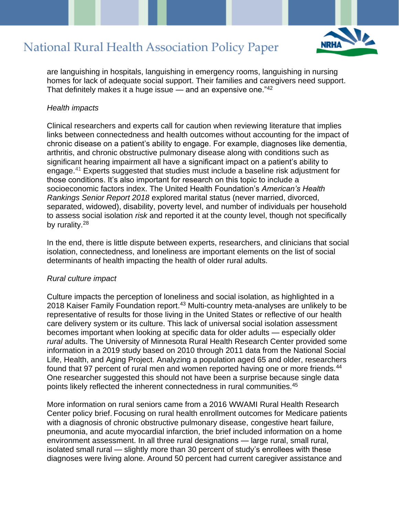

are languishing in hospitals, languishing in emergency rooms, languishing in nursing homes for lack of adequate social support. Their families and caregivers need support. That definitely makes it a huge issue  $-$  and an expensive one." $42$ 

#### *Health impacts*

Clinical researchers and experts call for caution when reviewing literature that implies links between connectedness and health outcomes without accounting for the impact of chronic disease on a patient's ability to engage. For example, diagnoses like dementia, arthritis, and chronic obstructive pulmonary disease along with conditions such as significant hearing impairment all have a significant impact on a patient's ability to engage.<sup>41</sup> Experts suggested that studies must include a baseline risk adjustment for those conditions. It's also important for research on this topic to include a socioeconomic factors index. The United Health Foundation's *American's Health Rankings Senior Report 2018* explored marital status (never married, divorced, separated, widowed), disability, poverty level, and number of individuals per household to assess social isolation *risk* and reported it at the county level, though not specifically by rurality.<sup>28</sup>

In the end, there is little dispute between experts, researchers, and clinicians that social isolation, connectedness, and loneliness are important elements on the list of social determinants of health impacting the health of older rural adults.

#### *Rural culture impact*

Culture impacts the perception of loneliness and social isolation, as highlighted in a 2018 Kaiser Family Foundation report.<sup>43</sup> Multi-country meta-analyses are unlikely to be representative of results for those living in the United States or reflective of our health care delivery system or its culture. This lack of universal social isolation assessment becomes important when looking at specific data for older adults — especially older *rural* adults. The University of Minnesota Rural Health Research Center provided some information in a 2019 study based on 2010 through 2011 data from the National Social Life, Health, and Aging Project. Analyzing a population aged 65 and older, researchers found that 97 percent of rural men and women reported having one or more friends.<sup>44</sup> One researcher suggested this should not have been a surprise because single data points likely reflected the inherent connectedness in rural communities.<sup>45</sup>

More information on rural seniors came from a 2016 WWAMI Rural Health Research Center policy brief. Focusing on rural health enrollment outcomes for Medicare patients with a diagnosis of chronic obstructive pulmonary disease, congestive heart failure, pneumonia, and acute myocardial infarction, the brief included information on a home environment assessment. In all three rural designations — large rural, small rural, isolated small rural — slightly more than 30 percent of study's enrollees with these diagnoses were living alone. Around 50 percent had current caregiver assistance and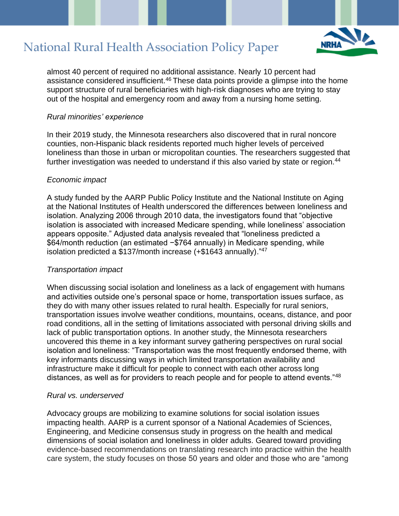almost 40 percent of required no additional assistance. Nearly 10 percent had assistance considered insufficient.<sup>46</sup> These data points provide a glimpse into the home support structure of rural beneficiaries with high-risk diagnoses who are trying to stay out of the hospital and emergency room and away from a nursing home setting.

#### *Rural minorities' experience*

In their 2019 study, the Minnesota researchers also discovered that in rural noncore counties, non-Hispanic black residents reported much higher levels of perceived loneliness than those in urban or micropolitan counties. The researchers suggested that further investigation was needed to understand if this also varied by state or region.<sup>44</sup>

#### *Economic impact*

A study funded by the AARP Public Policy Institute and the National Institute on Aging at the National Institutes of Health underscored the differences between loneliness and isolation. Analyzing 2006 through 2010 data, the investigators found that "objective isolation is associated with increased Medicare spending, while loneliness' association appears opposite." Adjusted data analysis revealed that "loneliness predicted a \$64/month reduction (an estimated −\$764 annually) in Medicare spending, while isolation predicted a \$137/month increase (+\$1643 annually)."<sup>47</sup>

#### *Transportation impact*

When discussing social isolation and loneliness as a lack of engagement with humans and activities outside one's personal space or home, transportation issues surface, as they do with many other issues related to rural health. Especially for rural seniors, transportation issues involve weather conditions, mountains, oceans, distance, and poor road conditions, all in the setting of limitations associated with personal driving skills and lack of public transportation options. In another study, the Minnesota researchers uncovered this theme in a key informant survey gathering perspectives on rural social isolation and loneliness: "Transportation was the most frequently endorsed theme, with key informants discussing ways in which limited transportation availability and infrastructure make it difficult for people to connect with each other across long distances, as well as for providers to reach people and for people to attend events."<sup>48</sup>

#### *Rural vs. underserved*

Advocacy groups are mobilizing to examine solutions for social isolation issues impacting health. AARP is a current sponsor of a National Academies of Sciences, Engineering, and Medicine consensus study in progress on the health and medical dimensions of social isolation and loneliness in older adults. Geared toward providing evidence-based recommendations on translating research into practice within the health care system, the study focuses on those 50 years and older and those who are "among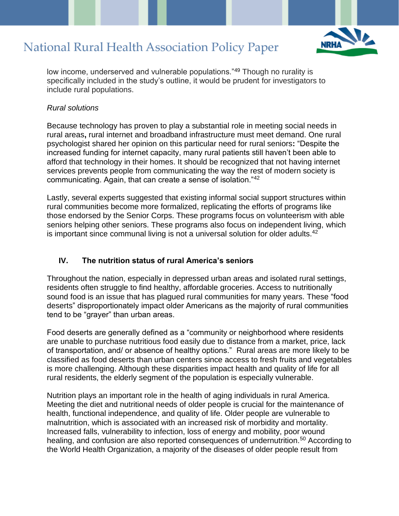

low income, underserved and vulnerable populations."49 Though no rurality is specifically included in the study's outline, it would be prudent for investigators to include rural populations.

#### *Rural solutions*

Because technology has proven to play a substantial role in meeting social needs in rural areas**,** rural internet and broadband infrastructure must meet demand. One rural psychologist shared her opinion on this particular need for rural seniors**:** "Despite the increased funding for internet capacity, many rural patients still haven't been able to afford that technology in their homes. It should be recognized that not having internet services prevents people from communicating the way the rest of modern society is communicating. Again, that can create a sense of isolation."<sup>42</sup>

Lastly, several experts suggested that existing informal social support structures within rural communities become more formalized, replicating the efforts of programs like those endorsed by the Senior Corps. These programs focus on volunteerism with able seniors helping other seniors. These programs also focus on independent living, which is important since communal living is not a universal solution for older adults.<sup>42</sup>

#### **IV. The nutrition status of rural America's seniors**

Throughout the nation, especially in depressed urban areas and isolated rural settings, residents often struggle to find healthy, affordable groceries. Access to nutritionally sound food is an issue that has plagued rural communities for many years. These "food deserts" disproportionately impact older Americans as the majority of rural communities tend to be "grayer" than urban areas.

Food deserts are generally defined as a "community or neighborhood where residents are unable to purchase nutritious food easily due to distance from a market, price, lack of transportation, and/ or absence of healthy options." Rural areas are more likely to be classified as food deserts than urban centers since access to fresh fruits and vegetables is more challenging. Although these disparities impact health and quality of life for all rural residents, the elderly segment of the population is especially vulnerable.

Nutrition plays an important role in the health of aging individuals in rural America. Meeting the diet and nutritional needs of older people is crucial for the maintenance of health, functional independence, and quality of life. Older people are vulnerable to malnutrition, which is associated with an increased risk of morbidity and mortality. Increased falls, vulnerability to infection, loss of energy and mobility, poor wound healing, and confusion are also reported consequences of undernutrition.<sup>50</sup> According to the World Health Organization, a majority of the diseases of older people result from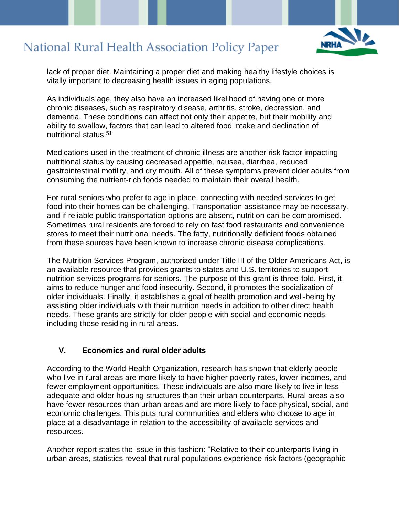

lack of proper diet. Maintaining a proper diet and making healthy lifestyle choices is vitally important to decreasing health issues in aging populations.

As individuals age, they also have an increased likelihood of having one or more chronic diseases, such as respiratory disease, arthritis, stroke, depression, and dementia. These conditions can affect not only their appetite, but their mobility and ability to swallow, factors that can lead to altered food intake and declination of nutritional status.<sup>51</sup>

Medications used in the treatment of chronic illness are another risk factor impacting nutritional status by causing decreased appetite, nausea, diarrhea, reduced gastrointestinal motility, and dry mouth. All of these symptoms prevent older adults from consuming the nutrient-rich foods needed to maintain their overall health.

For rural seniors who prefer to age in place, connecting with needed services to get food into their homes can be challenging. Transportation assistance may be necessary, and if reliable public transportation options are absent, nutrition can be compromised. Sometimes rural residents are forced to rely on fast food restaurants and convenience stores to meet their nutritional needs. The fatty, nutritionally deficient foods obtained from these sources have been known to increase chronic disease complications.

The Nutrition Services Program, authorized under Title III of the Older Americans Act, is an available resource that provides grants to states and U.S. territories to support nutrition services programs for seniors. The purpose of this grant is three-fold. First, it aims to reduce hunger and food insecurity. Second, it promotes the socialization of older individuals. Finally, it establishes a goal of health promotion and well-being by assisting older individuals with their nutrition needs in addition to other direct health needs. These grants are strictly for older people with social and economic needs, including those residing in rural areas.

### **V. Economics and rural older adults**

According to the World Health Organization, research has shown that elderly people who live in rural areas are more likely to have higher poverty rates, lower incomes, and fewer employment opportunities. These individuals are also more likely to live in less adequate and older housing structures than their urban counterparts. Rural areas also have fewer resources than urban areas and are more likely to face physical, social, and economic challenges. This puts rural communities and elders who choose to age in place at a disadvantage in relation to the accessibility of available services and resources.

Another report states the issue in this fashion: "Relative to their counterparts living in urban areas, statistics reveal that rural populations experience risk factors (geographic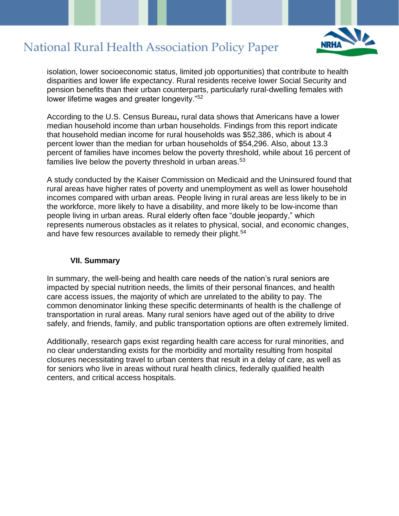# NRHA

## **National Rural Health Association Policy Paper**

isolation, lower socioeconomic status, limited job opportunities) that contribute to health disparities and lower life expectancy. Rural residents receive lower Social Security and pension benefits than their urban counterparts, particularly rural-dwelling females with lower lifetime wages and greater longevity."<sup>52</sup>

According to the U.S. Census Bureau**,** rural data shows that Americans have a lower median household income than urban households. Findings from this report indicate that household median income for rural households was \$52,386, which is about 4 percent lower than the median for urban households of \$54,296. Also, about 13.3 percent of families have incomes below the poverty threshold, while about 16 percent of families live below the poverty threshold in urban areas.<sup>53</sup>

A study conducted by the Kaiser Commission on Medicaid and the Uninsured found that rural areas have higher rates of poverty and unemployment as well as lower household incomes compared with urban areas. People living in rural areas are less likely to be in the workforce, more likely to have a disability, and more likely to be low-income than people living in urban areas. Rural elderly often face "double jeopardy," which represents numerous obstacles as it relates to physical, social, and economic changes, and have few resources available to remedy their plight.<sup>54</sup>

#### **VII. Summary**

In summary, the well-being and health care needs of the nation's rural seniors are impacted by special nutrition needs, the limits of their personal finances, and health care access issues, the majority of which are unrelated to the ability to pay. The common denominator linking these specific determinants of health is the challenge of transportation in rural areas. Many rural seniors have aged out of the ability to drive safely, and friends, family, and public transportation options are often extremely limited.

Additionally, research gaps exist regarding health care access for rural minorities, and no clear understanding exists for the morbidity and mortality resulting from hospital closures necessitating travel to urban centers that result in a delay of care, as well as for seniors who live in areas without rural health clinics, federally qualified health centers, and critical access hospitals.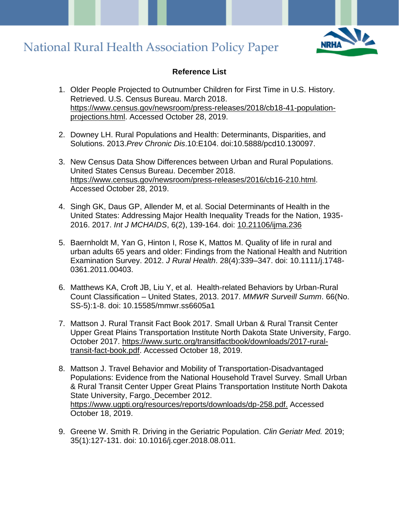

#### **Reference List**

- 1. Older People Projected to Outnumber Children for First Time in U.S. History. Retrieved. U.S. Census Bureau. March 2018. [https://www.census.gov/newsroom/press-releases/2018/cb18-41-population](https://www.census.gov/newsroom/press-releases/2018/cb18-41-population-projections.html)[projections.html.](https://www.census.gov/newsroom/press-releases/2018/cb18-41-population-projections.html) Accessed October 28, 2019.
- 2. Downey LH. Rural Populations and Health: Determinants, Disparities, and Solutions. 2013.*Prev Chronic Dis*.10:E104. doi:10.5888/pcd10.130097.
- 3. New Census Data Show Differences between Urban and Rural Populations. United States Census Bureau. December 2018. [https://www.census.gov/newsroom/press-releases/2016/cb16-210.html.](https://www.census.gov/newsroom/press-releases/2016/cb16-210.html) Accessed October 28, 2019.
- 4. Singh GK, Daus GP, Allender M, et al. Social Determinants of Health in the United States: Addressing Major Health Inequality Treads for the Nation, 1935- 2016. 2017. *Int J MCHAIDS*, 6(2), 139-164. doi: [10.21106/ijma.236](https://dx.doi.org/10.21106%2Fijma.236)
- 5. Baernholdt M, Yan G, Hinton I, Rose K, Mattos M. Quality of life in rural and urban adults 65 years and older: Findings from the National Health and Nutrition Examination Survey. 2012. *J Rural Health*. 28(4):339–347. doi: 10.1111/j.1748- 0361.2011.00403.
- 6. Matthews KA, Croft JB, Liu Y, et al. Health-related Behaviors by Urban-Rural Count Classification – United States, 2013. 2017. *MMWR Surveill Summ*. 66(No. SS-5):1-8. doi: 10.15585/mmwr.ss6605a1
- 7. Mattson J. Rural Transit Fact Book 2017. Small Urban & Rural Transit Center Upper Great Plains Transportation Institute North Dakota State University, Fargo. October 2017. [https://www.surtc.org/transitfactbook/downloads/2017-rural](https://www.surtc.org/transitfactbook/downloads/2017-rural-transit-fact-book.pdf)[transit-fact-book.pdf.](https://www.surtc.org/transitfactbook/downloads/2017-rural-transit-fact-book.pdf) Accessed October 18, 2019.
- 8. Mattson J. Travel Behavior and Mobility of Transportation-Disadvantaged Populations: Evidence from the National Household Travel Survey*.* Small Urban & Rural Transit Center Upper Great Plains Transportation Institute North Dakota State University, Fargo. December 2012. [https://www.ugpti.org/resources/reports/downloads/dp-258.pdf.](https://www.ugpti.org/resources/reports/downloads/dp-258.pdf) Accessed October 18, 2019.
- 9. Greene W. Smith R. Driving in the Geriatric Population. *[Clin Geriatr Med.](https://www.ncbi.nlm.nih.gov/pubmed/30390978)* 2019; 35(1):127-131. doi: 10.1016/j.cger.2018.08.011.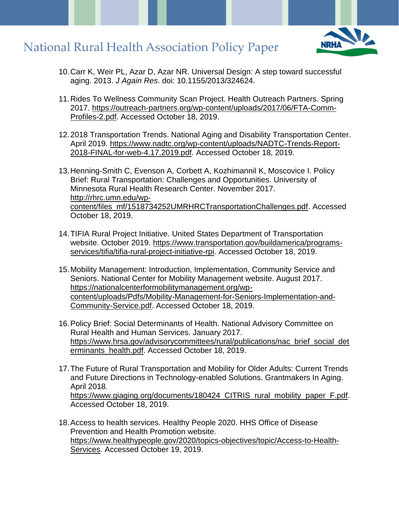

- 10.Carr K, Weir PL, Azar D, Azar NR. Universal Design: A step toward successful aging. 2013. *J Again Res*. doi: 10.1155/2013/324624.
- 11.Rides To Wellness Community Scan Project. Health Outreach Partners. Spring 2017. [https://outreach-partners.org/wp-content/uploads/2017/06/FTA-Comm-](https://outreach-partners.org/wp-content/uploads/2017/06/FTA-Comm-Profiles-2.pdf)[Profiles-2.pdf.](https://outreach-partners.org/wp-content/uploads/2017/06/FTA-Comm-Profiles-2.pdf) Accessed October 18, 2019.
- 12.2018 Transportation Trends. National Aging and Disability Transportation Center. April 2019. [https://www.nadtc.org/wp-content/uploads/NADTC-Trends-Report-](https://www.nadtc.org/wp-content/uploads/NADTC-Trends-Report-2018-FINAL-for-web-4.17.2019.pdf)[2018-FINAL-for-web-4.17.2019.pdf.](https://www.nadtc.org/wp-content/uploads/NADTC-Trends-Report-2018-FINAL-for-web-4.17.2019.pdf) Accessed October 18, 2019.
- 13.Henning-Smith C, Evenson A, Corbett A, Kozhimannil K, Moscovice I. Policy Brief: Rural Transportation: Challenges and Opportunities. University of Minnesota Rural Health Research Center. November 2017. [http://rhrc.umn.edu/wp](http://rhrc.umn.edu/wp-content/files_mf/1518734252UMRHRCTransportationChallenges.pdf)[content/files\\_mf/1518734252UMRHRCTransportationChallenges.pdf.](http://rhrc.umn.edu/wp-content/files_mf/1518734252UMRHRCTransportationChallenges.pdf) Accessed October 18, 2019.
- 14.TIFIA Rural Project Initiative. United States Department of Transportation website. October 2019. [https://www.transportation.gov/buildamerica/programs](https://www.transportation.gov/buildamerica/programs-services/tifia/tifia-rural-project-initiative-rpi)[services/tifia/tifia-rural-project-initiative-rpi.](https://www.transportation.gov/buildamerica/programs-services/tifia/tifia-rural-project-initiative-rpi) Accessed October 18, 2019.
- 15.Mobility Management: Introduction, Implementation, Community Service and Seniors. National Center for Mobility Management website. August 2017. [https://nationalcenterformobilitymanagement.org/wp](https://nationalcenterformobilitymanagement.org/wp-content/uploads/Pdfs/Mobility-Management-for-Seniors-Implementation-and-Community-Service.pdf)[content/uploads/Pdfs/Mobility-Management-for-Seniors-Implementation-and-](https://nationalcenterformobilitymanagement.org/wp-content/uploads/Pdfs/Mobility-Management-for-Seniors-Implementation-and-Community-Service.pdf)[Community-Service.pdf.](https://nationalcenterformobilitymanagement.org/wp-content/uploads/Pdfs/Mobility-Management-for-Seniors-Implementation-and-Community-Service.pdf) Accessed October 18, 2019.
- 16.Policy Brief: Social Determinants of Health. National Advisory Committee on Rural Health and Human Services. January 2017. [https://www.hrsa.gov/advisorycommittees/rural/publications/nac\\_brief\\_social\\_det](https://www.hrsa.gov/advisorycommittees/rural/publications/nac_brief_social_determinants_health.pdf) [erminants\\_health.pdf.](https://www.hrsa.gov/advisorycommittees/rural/publications/nac_brief_social_determinants_health.pdf) Accessed October 18, 2019.
- 17.The Future of Rural Transportation and Mobility for Older Adults: Current Trends and Future Directions in Technology-enabled Solutions. Grantmakers In Aging. April 2018. https://www.giaging.org/documents/180424 CITRIS rural mobility paper F.pdf. Accessed October 18, 2019.
- 18.Access to health services. Healthy People 2020. HHS Office of Disease Prevention and Health Promotion website. [https://www.healthypeople.gov/2020/topics-objectives/topic/Access-to-Health-](https://www.healthypeople.gov/2020/topics-objectives/topic/Access-to-Health-Services)[Services.](https://www.healthypeople.gov/2020/topics-objectives/topic/Access-to-Health-Services) Accessed October 19, 2019.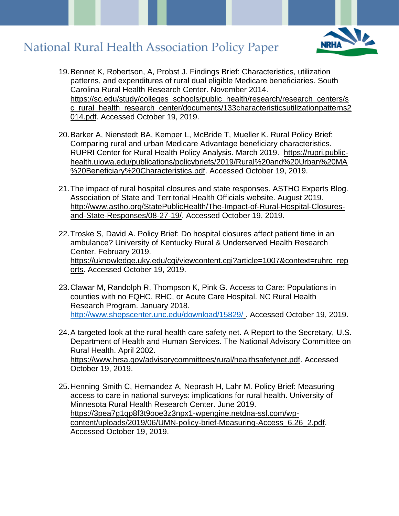

- 19.Bennet K, Robertson, A, Probst J. Findings Brief: Characteristics, utilization patterns, and expenditures of rural dual eligible Medicare beneficiaries. South Carolina Rural Health Research Center. November 2014. [https://sc.edu/study/colleges\\_schools/public\\_health/research/research\\_centers/s](https://sc.edu/study/colleges_schools/public_health/research/research_centers/sc_rural_health_research_center/documents/133characteristicsutilizationpatterns2014.pdf) [c\\_rural\\_health\\_research\\_center/documents/133characteristicsutilizationpatterns2](https://sc.edu/study/colleges_schools/public_health/research/research_centers/sc_rural_health_research_center/documents/133characteristicsutilizationpatterns2014.pdf) [014.pdf.](https://sc.edu/study/colleges_schools/public_health/research/research_centers/sc_rural_health_research_center/documents/133characteristicsutilizationpatterns2014.pdf) Accessed October 19, 2019.
- 20.Barker A, Nienstedt BA, Kemper L, McBride T, Mueller K. Rural Policy Brief: Comparing rural and urban Medicare Advantage beneficiary characteristics. RUPRI Center for Rural Health Policy Analysis. March 2019. [https://rupri.public](https://rupri.public-health.uiowa.edu/publications/policybriefs/2019/Rural%20and%20Urban%20MA%20Beneficiary%20Characteristics.pdf)[health.uiowa.edu/publications/policybriefs/2019/Rural%20and%20Urban%20MA](https://rupri.public-health.uiowa.edu/publications/policybriefs/2019/Rural%20and%20Urban%20MA%20Beneficiary%20Characteristics.pdf) [%20Beneficiary%20Characteristics.pdf.](https://rupri.public-health.uiowa.edu/publications/policybriefs/2019/Rural%20and%20Urban%20MA%20Beneficiary%20Characteristics.pdf) Accessed October 19, 2019.
- 21.The impact of rural hospital closures and state responses. ASTHO Experts Blog. Association of State and Territorial Health Officials website. August 2019. [http://www.astho.org/StatePublicHealth/The-Impact-of-Rural-Hospital-Closures](http://www.astho.org/StatePublicHealth/The-Impact-of-Rural-Hospital-Closures-and-State-Responses/08-27-19/)[and-State-Responses/08-27-19/.](http://www.astho.org/StatePublicHealth/The-Impact-of-Rural-Hospital-Closures-and-State-Responses/08-27-19/) Accessed October 19, 2019.
- 22.Troske S, David A. Policy Brief: Do hospital closures affect patient time in an ambulance? University of Kentucky Rural & Underserved Health Research Center. February 2019. [https://uknowledge.uky.edu/cgi/viewcontent.cgi?article=1007&context=ruhrc\\_rep](https://uknowledge.uky.edu/cgi/viewcontent.cgi?article=1007&context=ruhrc_reports) [orts.](https://uknowledge.uky.edu/cgi/viewcontent.cgi?article=1007&context=ruhrc_reports) Accessed October 19, 2019.
- 23.Clawar M, Randolph R, Thompson K, Pink G. Access to Care: Populations in counties with no FQHC, RHC, or Acute Care Hospital. NC Rural Health Research Program. January 2018. <http://www.shepscenter.unc.edu/download/15829/> . Accessed October 19, 2019.
- 24.A targeted look at the rural health care safety net. A Report to the Secretary, U.S. Department of Health and Human Services. The National Advisory Committee on Rural Health. April 2002. [https://www.hrsa.gov/advisorycommittees/rural/healthsafetynet.pdf.](https://www.hrsa.gov/advisorycommittees/rural/healthsafetynet.pdf) Accessed October 19, 2019.
- 25.Henning-Smith C, Hernandez A, Neprash H, Lahr M. Policy Brief: Measuring access to care in national surveys: implications for rural health. University of Minnesota Rural Health Research Center. June 2019. [https://3pea7g1qp8f3t9ooe3z3npx1-wpengine.netdna-ssl.com/wp](https://3pea7g1qp8f3t9ooe3z3npx1-wpengine.netdna-ssl.com/wp-content/uploads/2019/06/UMN-policy-brief-Measuring-Access_6.26_2.pdf)[content/uploads/2019/06/UMN-policy-brief-Measuring-Access\\_6.26\\_2.pdf.](https://3pea7g1qp8f3t9ooe3z3npx1-wpengine.netdna-ssl.com/wp-content/uploads/2019/06/UMN-policy-brief-Measuring-Access_6.26_2.pdf) Accessed October 19, 2019.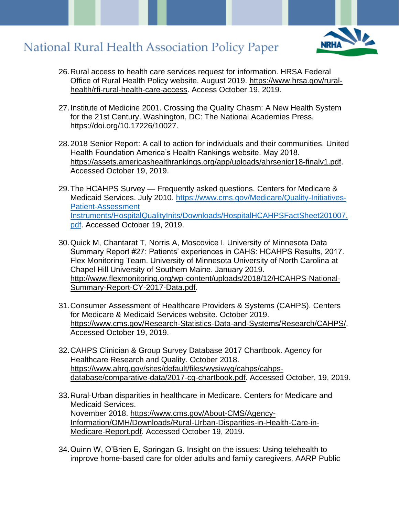

- 26.Rural access to health care services request for information. HRSA Federal Office of Rural Health Policy website. August 2019. [https://www.hrsa.gov/rural](https://www.hrsa.gov/rural-health/rfi-rural-health-care-access)[health/rfi-rural-health-care-access.](https://www.hrsa.gov/rural-health/rfi-rural-health-care-access) Access October 19, 2019.
- 27.Institute of Medicine 2001. Crossing the Quality Chasm: A New Health System for the 21st Century. Washington, DC: The National Academies Press. https://doi.org/10.17226/10027.
- 28.2018 Senior Report: A call to action for individuals and their communities. United Health Foundation America's Health Rankings website. May 2018. [https://assets.americashealthrankings.org/app/uploads/ahrsenior18-finalv1.pdf.](https://assets.americashealthrankings.org/app/uploads/ahrsenior18-finalv1.pdf) Accessed October 19, 2019.
- 29.The HCAHPS Survey Frequently asked questions. Centers for Medicare & Medicaid Services. July 2010. [https://www.cms.gov/Medicare/Quality-Initiatives-](https://www.cms.gov/Medicare/Quality-Initiatives-Patient-Assessment%20Instruments/HospitalQualityInits/Downloads/HospitalHCAHPSFactSheet201007.pdf)[Patient-Assessment](https://www.cms.gov/Medicare/Quality-Initiatives-Patient-Assessment%20Instruments/HospitalQualityInits/Downloads/HospitalHCAHPSFactSheet201007.pdf)  [Instruments/HospitalQualityInits/Downloads/HospitalHCAHPSFactSheet201007.](https://www.cms.gov/Medicare/Quality-Initiatives-Patient-Assessment%20Instruments/HospitalQualityInits/Downloads/HospitalHCAHPSFactSheet201007.pdf) [pdf.](https://www.cms.gov/Medicare/Quality-Initiatives-Patient-Assessment%20Instruments/HospitalQualityInits/Downloads/HospitalHCAHPSFactSheet201007.pdf) Accessed October 19, 2019.
- 30.Quick M, Chantarat T, Norris A, Moscovice I. University of Minnesota Data Summary Report #27: Patients' experiences in CAHS: HCAHPS Results, 2017. Flex Monitoring Team. University of Minnesota University of North Carolina at Chapel Hill University of Southern Maine. January 2019. [http://www.flexmonitoring.org/wp-content/uploads/2018/12/HCAHPS-National-](http://www.flexmonitoring.org/wp-content/uploads/2018/12/HCAHPS-National-Summary-Report-CY-2017-Data.pdf)[Summary-Report-CY-2017-Data.pdf.](http://www.flexmonitoring.org/wp-content/uploads/2018/12/HCAHPS-National-Summary-Report-CY-2017-Data.pdf)
- 31.Consumer Assessment of Healthcare Providers & Systems (CAHPS). Centers for Medicare & Medicaid Services website. October 2019. [https://www.cms.gov/Research-Statistics-Data-and-Systems/Research/CAHPS/.](https://www.cms.gov/Research-Statistics-Data-and-Systems/Research/CAHPS/) Accessed October 19, 2019.
- 32.CAHPS Clinician & Group Survey Database 2017 Chartbook. Agency for Healthcare Research and Quality. October 2018. [https://www.ahrq.gov/sites/default/files/wysiwyg/cahps/cahps](https://www.ahrq.gov/sites/default/files/wysiwyg/cahps/cahps-database/comparative-data/2017-cg-chartbook.pdf)[database/comparative-data/2017-cg-chartbook.pdf.](https://www.ahrq.gov/sites/default/files/wysiwyg/cahps/cahps-database/comparative-data/2017-cg-chartbook.pdf) Accessed October, 19, 2019.
- 33.Rural-Urban disparities in healthcare in Medicare. Centers for Medicare and Medicaid Services. November 2018. [https://www.cms.gov/About-CMS/Agency-](https://www.cms.gov/About-CMS/Agency-Information/OMH/Downloads/Rural-Urban-Disparities-in-Health-Care-in-Medicare-Report.pdf)[Information/OMH/Downloads/Rural-Urban-Disparities-in-Health-Care-in-](https://www.cms.gov/About-CMS/Agency-Information/OMH/Downloads/Rural-Urban-Disparities-in-Health-Care-in-Medicare-Report.pdf)[Medicare-Report.pdf.](https://www.cms.gov/About-CMS/Agency-Information/OMH/Downloads/Rural-Urban-Disparities-in-Health-Care-in-Medicare-Report.pdf) Accessed October 19, 2019.
- 34.Quinn W, O'Brien E, Springan G. Insight on the issues: Using telehealth to improve home-based care for older adults and family caregivers. AARP Public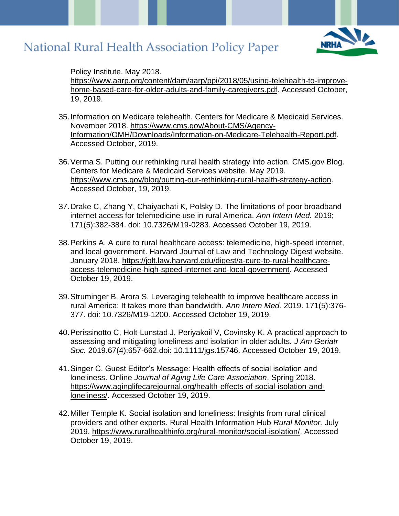

Policy Institute. May 2018.

[https://www.aarp.org/content/dam/aarp/ppi/2018/05/using-telehealth-to-improve](https://www.aarp.org/content/dam/aarp/ppi/2018/05/using-telehealth-to-improve-home-based-care-for-older-adults-and-family-caregivers.pdf)[home-based-care-for-older-adults-and-family-caregivers.pdf.](https://www.aarp.org/content/dam/aarp/ppi/2018/05/using-telehealth-to-improve-home-based-care-for-older-adults-and-family-caregivers.pdf) Accessed October, 19, 2019.

- 35.Information on Medicare telehealth. Centers for Medicare & Medicaid Services. November 2018. [https://www.cms.gov/About-CMS/Agency-](https://www.cms.gov/About-CMS/Agency-Information/OMH/Downloads/Information-on-Medicare-Telehealth-Report.pdf)[Information/OMH/Downloads/Information-on-Medicare-Telehealth-Report.pdf.](https://www.cms.gov/About-CMS/Agency-Information/OMH/Downloads/Information-on-Medicare-Telehealth-Report.pdf) Accessed October, 2019.
- 36.Verma S. Putting our rethinking rural health strategy into action. CMS.gov Blog. Centers for Medicare & Medicaid Services website. May 2019. [https://www.cms.gov/blog/putting-our-rethinking-rural-health-strategy-action.](https://www.cms.gov/blog/putting-our-rethinking-rural-health-strategy-action) Accessed October, 19, 2019.
- 37.Drake C, Zhang Y, Chaiyachati K, Polsky D. The limitations of poor broadband internet access for telemedicine use in rural America. *Ann Intern Med.* 2019; 171(5):382-384. doi: 10.7326/M19-0283. Accessed October 19, 2019.
- 38.Perkins A. A cure to rural healthcare access: telemedicine, high-speed internet, and local government. Harvard Journal of Law and Technology Digest website. January 2018. [https://jolt.law.harvard.edu/digest/a-cure-to-rural-healthcare](https://jolt.law.harvard.edu/digest/a-cure-to-rural-healthcare-access-telemedicine-high-speed-internet-and-local-government)[access-telemedicine-high-speed-internet-and-local-government.](https://jolt.law.harvard.edu/digest/a-cure-to-rural-healthcare-access-telemedicine-high-speed-internet-and-local-government) Accessed October 19, 2019.
- 39.Struminger B, Arora S. Leveraging telehealth to improve healthcare access in rural America: It takes more than bandwidth. *Ann Intern Med.* 2019. 171(5):376- 377. doi: 10.7326/M19-1200. Accessed October 19, 2019.
- 40.Perissinotto C, Holt-Lunstad J, Periyakoil V, Covinsky K. A practical approach to assessing and mitigating loneliness and isolation in older adults. *J Am Geriatr Soc.* 2019.67(4):657-662.doi: 10.1111/jgs.15746. Accessed October 19, 2019.
- 41.Singer C. Guest Editor's Message: Health effects of social isolation and loneliness. Online *Journal of Aging Life Care Association*. Spring 2018. [https://www.aginglifecarejournal.org/health-effects-of-social-isolation-and](https://www.aginglifecarejournal.org/health-effects-of-social-isolation-and-loneliness/)[loneliness/.](https://www.aginglifecarejournal.org/health-effects-of-social-isolation-and-loneliness/) Accessed October 19, 2019.
- 42.Miller Temple K. Social isolation and loneliness: Insights from rural clinical providers and other experts. Rural Health Information Hub *Rural Monitor.* July 2019. [https://www.ruralhealthinfo.org/rural-monitor/social-isolation/.](https://www.ruralhealthinfo.org/rural-monitor/social-isolation/) Accessed October 19, 2019.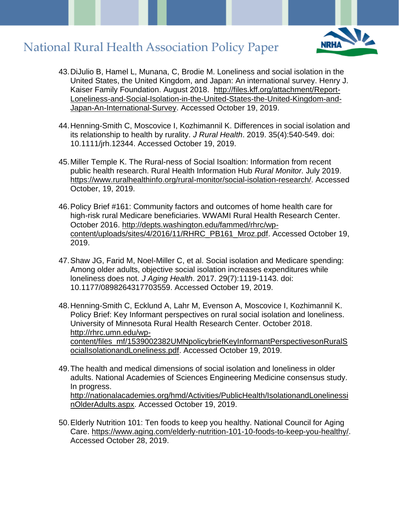

- 43.DiJulio B, Hamel L, Munana, C, Brodie M. Loneliness and social isolation in the United States, the United Kingdom, and Japan: An international survey. Henry J. Kaiser Family Foundation. August 2018. [http://files.kff.org/attachment/Report-](http://files.kff.org/attachment/Report-Loneliness-and-Social-Isolation-in-the-United-States-the-United-Kingdom-and-Japan-An-International-Survey)[Loneliness-and-Social-Isolation-in-the-United-States-the-United-Kingdom-and-](http://files.kff.org/attachment/Report-Loneliness-and-Social-Isolation-in-the-United-States-the-United-Kingdom-and-Japan-An-International-Survey)[Japan-An-International-Survey.](http://files.kff.org/attachment/Report-Loneliness-and-Social-Isolation-in-the-United-States-the-United-Kingdom-and-Japan-An-International-Survey) Accessed October 19, 2019.
- 44.Henning-Smith C, Moscovice I, Kozhimannil K. Differences in social isolation and its relationship to health by rurality. *J Rural Health*. 2019. 35(4):540-549. doi: 10.1111/jrh.12344. Accessed October 19, 2019.
- 45.Miller Temple K. The Rural-ness of Social Isoaltion: Information from recent public health research. Rural Health Information Hub *Rural Monitor.* July 2019. [https://www.ruralhealthinfo.org/rural-monitor/social-isolation-research/.](https://www.ruralhealthinfo.org/rural-monitor/social-isolation-research/) Accessed October, 19, 2019.
- 46.Policy Brief #161: Community factors and outcomes of home health care for high-risk rural Medicare beneficiaries. WWAMI Rural Health Research Center. October 2016. [http://depts.washington.edu/fammed/rhrc/wp](http://depts.washington.edu/fammed/rhrc/wp-content/uploads/sites/4/2016/11/RHRC_PB161_Mroz.pdf)[content/uploads/sites/4/2016/11/RHRC\\_PB161\\_Mroz.pdf.](http://depts.washington.edu/fammed/rhrc/wp-content/uploads/sites/4/2016/11/RHRC_PB161_Mroz.pdf) Accessed October 19, 2019.
- 47.Shaw JG, Farid M, Noel-Miller C, et al. Social isolation and Medicare spending: Among older adults, objective social isolation increases expenditures while loneliness does not. *J Aging Health*. 2017. 29(7):1119-1143. doi: 10.1177/0898264317703559. Accessed October 19, 2019.
- 48.Henning-Smith C, Ecklund A, Lahr M, Evenson A, Moscovice I, Kozhimannil K. Policy Brief: Key Informant perspectives on rural social isolation and loneliness. University of Minnesota Rural Health Research Center. October 2018. [http://rhrc.umn.edu/wp](http://rhrc.umn.edu/wp-content/files_mf/1539002382UMNpolicybriefKeyInformantPerspectivesonRuralSocialIsolationandLoneliness.pdf)[content/files\\_mf/1539002382UMNpolicybriefKeyInformantPerspectivesonRuralS](http://rhrc.umn.edu/wp-content/files_mf/1539002382UMNpolicybriefKeyInformantPerspectivesonRuralSocialIsolationandLoneliness.pdf) [ocialIsolationandLoneliness.pdf.](http://rhrc.umn.edu/wp-content/files_mf/1539002382UMNpolicybriefKeyInformantPerspectivesonRuralSocialIsolationandLoneliness.pdf) Accessed October 19, 2019.
- 49.The health and medical dimensions of social isolation and loneliness in older adults. National Academies of Sciences Engineering Medicine consensus study. In progress. [http://nationalacademies.org/hmd/Activities/PublicHealth/IsolationandLonelinessi](http://nationalacademies.org/hmd/Activities/PublicHealth/IsolationandLonelinessinOlderAdults.aspx) [nOlderAdults.aspx.](http://nationalacademies.org/hmd/Activities/PublicHealth/IsolationandLonelinessinOlderAdults.aspx) Accessed October 19, 2019.
- 50.Elderly Nutrition 101: Ten foods to keep you healthy. National Council for Aging Care. [https://www.aging.com/elderly-nutrition-101-10-foods-to-keep-you-healthy/.](https://www.aging.com/elderly-nutrition-101-10-foods-to-keep-you-healthy/) Accessed October 28, 2019.